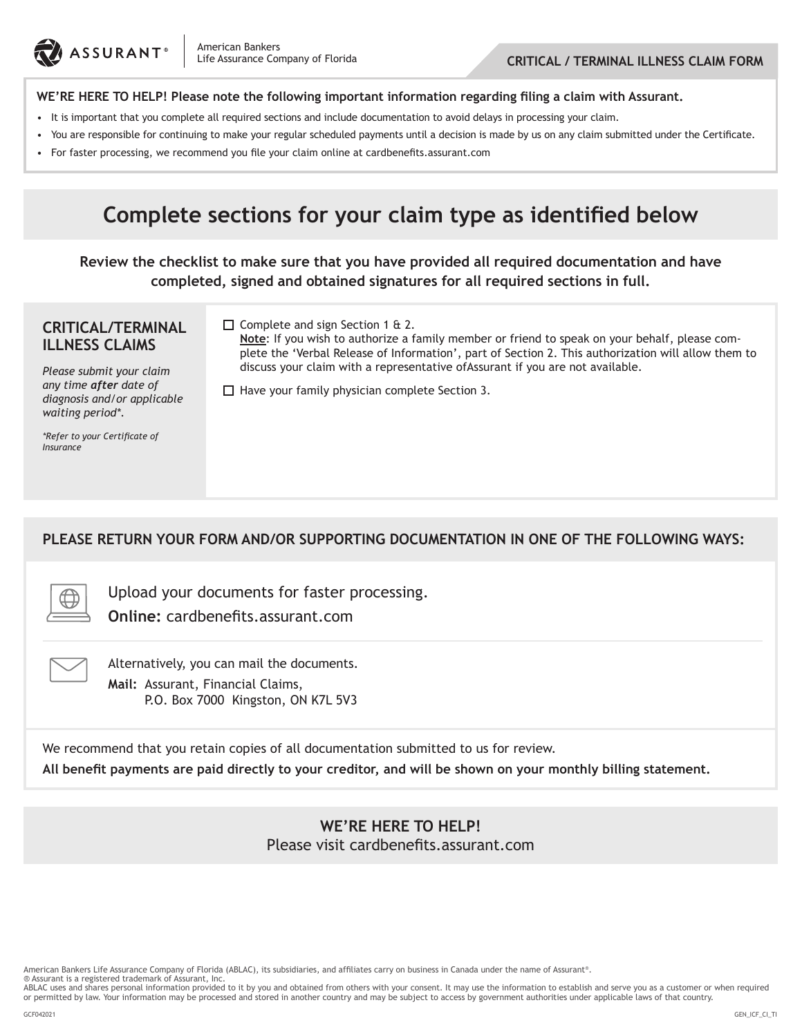

#### **WE'RE HERE TO HELP! Please note the following important information regarding filing a claim with Assurant.**

- It is important that you complete all required sections and include documentation to avoid delays in processing your claim.
- You are responsible for continuing to make your regular scheduled payments until a decision is made by us on any claim submitted under the Certificate.
- • For faster processing, we recommend you file your claim online at cardbenefits.assurant.com

# **Complete sections for your claim type as identified below**

**Review the checklist to make sure that you have provided all required documentation and have completed, signed and obtained signatures for all required sections in full.**

#### **CRITICAL/TERMINAL ILLNESS CLAIMS**

 $\Box$  Complete and sign Section 1 & 2.

**Note**: If you wish to authorize a family member or friend to speak on your behalf, please complete the 'Verbal Release of Information', part of Section 2. This authorization will allow them to discuss your claim with a representative ofAssurant if you are not available.

*Please submit your claim any time after date of diagnosis and/or applicable waiting period\*.*

*\*Refer to your Certificate of Insurance*

 $\Box$  Have your family physician complete Section 3.

**PLEASE RETURN YOUR FORM AND/OR SUPPORTING DOCUMENTATION IN ONE OF THE FOLLOWING WAYS:**



Upload your documents for faster processing. **Online:** cardbenefits.assurant.com



Alternatively, you can mail the documents. **Mail:** Assurant, Financial Claims, P.O. Box 7000 Kingston, ON K7L 5V3

We recommend that you retain copies of all documentation submitted to us for review. **All benefit payments are paid directly to your creditor, and will be shown on your monthly billing statement.**

> **WE'RE HERE TO HELP!** Please visit cardbenefits.assurant.com

American Bankers Life Assurance Company of Florida (ABLAC), its subsidiaries, and affiliates carry on business in Canada under the name of Assurant®.

® Assurant is a registered trademark of Assurant, Inc.

ABLAC uses and shares personal information provided to it by you and obtained from others with your consent. It may use the information to establish and serve you as a customer or when required or permitted by law. Your information may be processed and stored in another country and may be subject to access by government authorities under applicable laws of that country.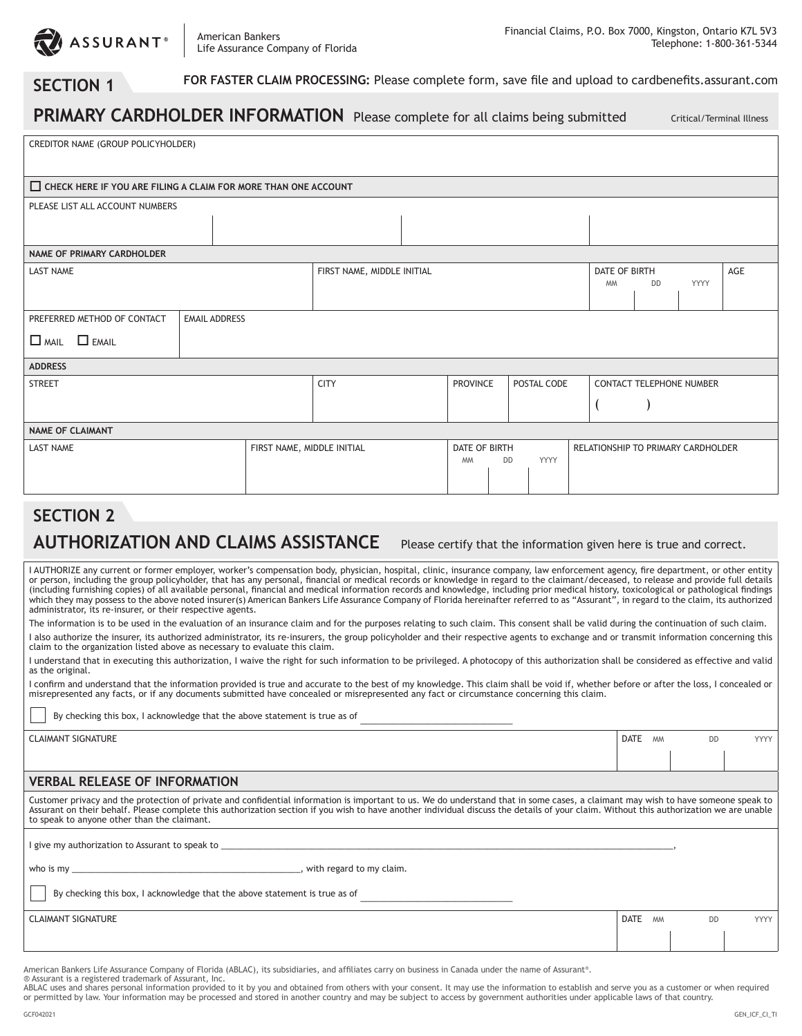

### **SECTION 1**

 **FOR FASTER CLAIM PROCESSING:** Please complete form, save file and upload to cardbenefits.assurant.com

|                                                                |                      |                                | PRIMARY CARDHOLDER INFORMATION Please complete for all claims being submitted |  |                                                        |  |  |  |                                    |           | Critical/Terminal Illness |     |  |
|----------------------------------------------------------------|----------------------|--------------------------------|-------------------------------------------------------------------------------|--|--------------------------------------------------------|--|--|--|------------------------------------|-----------|---------------------------|-----|--|
| CREDITOR NAME (GROUP POLICYHOLDER)                             |                      |                                |                                                                               |  |                                                        |  |  |  |                                    |           |                           |     |  |
| CHECK HERE IF YOU ARE FILING A CLAIM FOR MORE THAN ONE ACCOUNT |                      |                                |                                                                               |  |                                                        |  |  |  |                                    |           |                           |     |  |
| PLEASE LIST ALL ACCOUNT NUMBERS                                |                      |                                |                                                                               |  |                                                        |  |  |  |                                    |           |                           |     |  |
|                                                                |                      |                                |                                                                               |  |                                                        |  |  |  |                                    |           |                           |     |  |
| <b>NAME OF PRIMARY CARDHOLDER</b>                              |                      |                                |                                                                               |  |                                                        |  |  |  |                                    |           |                           |     |  |
| <b>LAST NAME</b>                                               |                      |                                | FIRST NAME, MIDDLE INITIAL                                                    |  |                                                        |  |  |  | DATE OF BIRTH<br><b>MM</b>         | <b>DD</b> | <b>YYYY</b>               | AGE |  |
| PREFERRED METHOD OF CONTACT                                    | <b>EMAIL ADDRESS</b> |                                |                                                                               |  |                                                        |  |  |  |                                    |           |                           |     |  |
| $\Box$ MAIL $\Box$ EMAIL                                       |                      |                                |                                                                               |  |                                                        |  |  |  |                                    |           |                           |     |  |
| <b>ADDRESS</b>                                                 |                      |                                |                                                                               |  |                                                        |  |  |  |                                    |           |                           |     |  |
| <b>STREET</b>                                                  | <b>CITY</b>          | <b>PROVINCE</b><br>POSTAL CODE |                                                                               |  | <b>CONTACT TELEPHONE NUMBER</b>                        |  |  |  |                                    |           |                           |     |  |
|                                                                |                      |                                |                                                                               |  |                                                        |  |  |  |                                    |           |                           |     |  |
| <b>NAME OF CLAIMANT</b>                                        |                      |                                |                                                                               |  |                                                        |  |  |  |                                    |           |                           |     |  |
| <b>LAST NAME</b>                                               |                      | FIRST NAME, MIDDLE INITIAL     |                                                                               |  | <b>DATE OF BIRTH</b><br>YYYY<br><b>DD</b><br><b>MM</b> |  |  |  | RELATIONSHIP TO PRIMARY CARDHOLDER |           |                           |     |  |

### **SECTION 2**

### AUTHORIZATION AND CLAIMS ASSISTANCE Please certify that the information given here is true and correct.

I AUTHORIZE any current or former employer, worker's compensation body, physician, hospital, clinic, insurance company, law enforcement agency, fire department, or other entity or person, including the group policyholder, that has any personal, financial or medical records or knowledge in regard to the claimant/deceased, to release and provide full details (including furnishing copies) of all available personal, financial and medical information records and knowledge, including prior medical history, toxicological or pathological findings<br>which they may possess to the above administrator, its re-insurer, or their respective agents.

The information is to be used in the evaluation of an insurance claim and for the purposes relating to such claim. This consent shall be valid during the continuation of such claim. I also authorize the insurer, its authorized administrator, its re-insurers, the group policyholder and their respective agents to exchange and or transmit information concerning this claim to the organization listed above as necessary to evaluate this claim.

I understand that in executing this authorization, I waive the right for such information to be privileged. A photocopy of this authorization shall be considered as effective and valid as the original.

I confirm and understand that the information provided is true and accurate to the best of my knowledge. This claim shall be void if, whether before or after the loss, I concealed or misrepresented any facts, or if any documents submitted have concealed or misrepresented any fact or circumstance concerning this claim.

By checking this box, I acknowledge that the above statement is true as of

CLAIMANT SIGNATURE DATE MM DD YYYY

#### **VERBAL RELEASE OF INFORMATION**

Customer privacy and the protection of private and confidential information is important to us. We do understand that in some cases, a claimant may wish to have someone speak to Assurant on their behalf. Please complete this authorization section if you wish to have another individual discuss the details of your claim. Without this authorization we are unable to speak to anyone other than the claimant.

I give my authorization to Assurant to speak to

who is my \_\_\_\_\_\_\_\_\_\_\_\_\_\_\_\_\_\_\_\_\_\_\_\_\_\_\_\_\_\_\_\_\_\_\_\_\_\_\_\_\_\_\_\_\_\_\_\_, with regard to my claim.

By checking this box, I acknowledge that the above statement is true as of

**CLAIMANT SIGNATURE DATE** MM DD YYYY

American Bankers Life Assurance Company of Florida (ABLAC), its subsidiaries, and affiliates carry on business in Canada under the name of Assurant®.

® Assurant is a registered trademark of Assurant, Inc.<br>ABLAC uses and shares personal information provided to it by you and obtained from others with your consent. It may use the information to establish and serve you as a or permitted by law. Your information may be processed and stored in another country and may be subject to access by government authorities under applicable laws of that country.